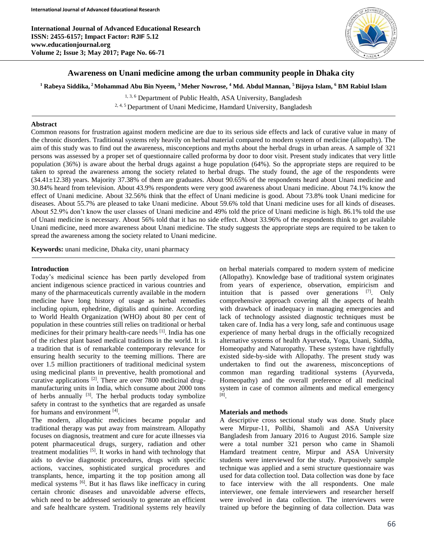**International Journal of Advanced Educational Research ISSN: 2455-6157; Impact Factor: RJIF 5.12 www.educationjournal.org Volume 2; Issue 3; May 2017; Page No. 66-71**



# **Awareness on Unani medicine among the urban community people in Dhaka city**

#### **<sup>1</sup> Rabeya Siddika, <sup>2</sup>Mohammad Abu Bin Nyeem, <sup>3</sup> Meher Nowrose, <sup>4</sup> Md. Abdul Mannan, <sup>5</sup>Bijoya Islam, <sup>6</sup> BM Rabiul Islam**

<sup>1, 3, 6</sup> Department of Public Health, ASA University, Bangladesh

<sup>2, 4, 5</sup> Department of Unani Medicime, Hamdard University, Bangladesh

#### **Abstract**

Common reasons for frustration against modern medicine are due to its serious side effects and lack of curative value in many of the chronic disorders. Traditional systems rely heavily on herbal material compared to modern system of medicine (allopathy). The aim of this study was to find out the awareness, misconceptions and myths about the herbal drugs in urban areas. A sample of 321 persons was assessed by a proper set of questionnaire called proforma by door to door visit. Present study indicates that very little population (36%) is aware about the herbal drugs against a huge population (64%). So the appropriate steps are required to be taken to spread the awareness among the society related to herbal drugs. The study found, the age of the respondents were (34.41±12.38) years. Majority 37.38% of them are graduates. About 90.65% of the respondents heard about Unani medicine and 30.84% heard from television. About 43.9% respondents were very good awareness about Unani medicine. About 74.1% know the effect of Unani medicine. About 32.56% think that the effect of Unani medicine is good. About 73.8% took Unani medicine for diseases. About 55.7% are pleased to take Unani medicine. About 59.6% told that Unani medicine uses for all kinds of diseases. About 52.9% don't know the user classes of Unani medicine and 49% told the price of Unani medicine is high. 86.1% told the use of Unani medicine is necessary. About 56% told that it has no side effect. About 33.96% of the respondents think to get available Unani medicine, need more awareness about Unani medicine. The study suggests the appropriate steps are required to be taken to spread the awareness among the society related to Unani medicine.

**Keywords:** unani medicine, Dhaka city, unani pharmacy

#### **Introduction**

Ī

Today's medicinal science has been partly developed from ancient indigenous science practiced in various countries and many of the pharmaceuticals currently available in the modern medicine have long history of usage as herbal remedies including opium, ephedrine, digitalis and quinine. According to World Health Organization (WHO) about 80 per cent of population in these countries still relies on traditional or herbal medicines for their primary health-care needs <sup>[1]</sup>. India has one of the richest plant based medical traditions in the world. It is a tradition that is of remarkable contemporary relevance for ensuring health security to the teeming millions. There are over 1.5 million practitioners of traditional medicinal system using medicinal plants in preventive, health promotional and curative applications <sup>[2]</sup>. There are over 7800 medicinal drugmanufacturing units in India, which consume about 2000 tons of herbs annually <sup>[3]</sup>. The herbal products today symbolize safety in contrast to the synthetics that are regarded as unsafe for humans and environment [4].

The modern, allopathic medicines became popular and traditional therapy was put away from mainstream. Allopathy focuses on diagnosis, treatment and cure for acute illnesses via potent pharmaceutical drugs, surgery, radiation and other treatment modalities [5]. It works in hand with technology that aids to devise diagnostic procedures, drugs with specific actions, vaccines, sophisticated surgical procedures and transplants, hence, imparting it the top position among all medical systems [6]. But it has flaws like inefficacy in curing certain chronic diseases and unavoidable adverse effects, which need to be addressed seriously to generate an efficient and safe healthcare system. Traditional systems rely heavily

on herbal materials compared to modern system of medicine (Allopathy). Knowledge base of traditional system originates from years of experience, observation, empiricism and intuition that is passed over generations [7]. Only comprehensive approach covering all the aspects of health with drawback of inadequacy in managing emergencies and lack of technology assisted diagnostic techniques must be taken care of. India has a very long, safe and continuous usage experience of many herbal drugs in the officially recognized alternative systems of health Ayurveda, Yoga, Unani, Siddha, Homeopathy and Naturopathy. These systems have rightfully existed side-by-side with Allopathy. The present study was undertaken to find out the awareness, misconceptions of common man regarding traditional systems (Ayurveda, Homeopathy) and the overall preference of all medicinal system in case of common ailments and medical emergency [8] .

# **Materials and methods**

A descriptive cross sectional study was done. Study place were Mirpur-11, Pollibi, Shamoli and ASA University Bangladesh from January 2016 to August 2016. Sample size were a total number 321 person who came in Shamoli Hamdard treatment centre, Mirpur and ASA University students were interviewed for the study. Purposively sample technique was applied and a semi structure questionnaire was used for data collection tool. Data collection was done by face to face interview with the all respondents. One male interviewer, one female interviewers and researcher herself were involved in data collection. The interviewers were trained up before the beginning of data collection. Data was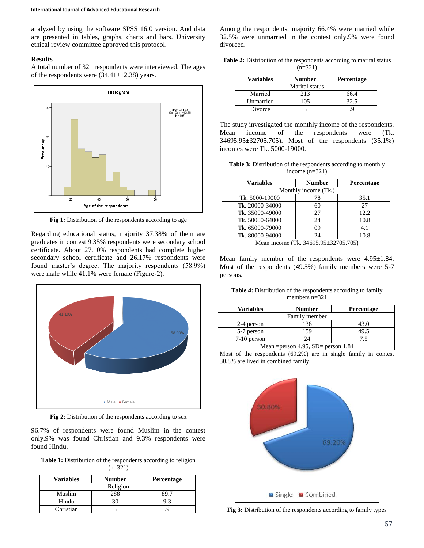analyzed by using the software SPSS 16.0 version. And data are presented in tables, graphs, charts and bars. University ethical review committee approved this protocol.

#### **Results**

A total number of 321 respondents were interviewed. The ages of the respondents were  $(34.41 \pm 12.38)$  years.



Fig 1: Distribution of the respondents according to age

Regarding educational status, majority 37.38% of them are graduates in contest 9.35% respondents were secondary school certificate. About 27.10% respondents had complete higher secondary school certificate and 26.17% respondents were found master's degree. The majority respondents (58.9%) were male while 41.1% were female (Figure-2).



**Fig 2:** Distribution of the respondents according to sex

96.7% of respondents were found Muslim in the contest only.9% was found Christian and 9.3% respondents were found Hindu.

Table 1: Distribution of the respondents according to religion  $(n=321)$ 

| <b>Variables</b> | <b>Number</b> | <b>Percentage</b> |  |  |  |
|------------------|---------------|-------------------|--|--|--|
| Religion         |               |                   |  |  |  |
| Muslim           | 288           |                   |  |  |  |
| Hindu            |               |                   |  |  |  |
| Christian        |               |                   |  |  |  |

Among the respondents, majority 66.4% were married while 32.5% were unmarried in the contest only.9% were found divorced.

Table 2: Distribution of the respondents according to marital status  $(n=321)$ 

| <b>Variables</b> | <b>Number</b> | <b>Percentage</b> |  |  |  |
|------------------|---------------|-------------------|--|--|--|
| Marital status   |               |                   |  |  |  |
| Married          | 213           | 66.4              |  |  |  |
| Unmarried        | 105           | 32.5              |  |  |  |
| Divorce          |               |                   |  |  |  |

The study investigated the monthly income of the respondents. Mean income of the respondents were (Tk. 34695.95±32705.705). Most of the respondents (35.1%) incomes were Tk. 5000-19000.

**Table 3:** Distribution of the respondents according to monthly income (n=321)

| <b>Variables</b>                     | <b>Number</b> | Percentage |  |  |  |  |
|--------------------------------------|---------------|------------|--|--|--|--|
| Monthly income (Tk.)                 |               |            |  |  |  |  |
| Tk. 5000-19000                       | 78            | 35.1       |  |  |  |  |
| Tk. 20000-34000                      | 60            | 27         |  |  |  |  |
| Tk. 35000-49000                      | 27            | 12.2       |  |  |  |  |
| Tk. 50000-64000                      | 24            | 10.8       |  |  |  |  |
| Tk. 65000-79000                      | 09            | 4.1        |  |  |  |  |
| Tk. 80000-94000                      | 24            | 10.8       |  |  |  |  |
| Mean income (Tk. 34695.95±32705.705) |               |            |  |  |  |  |

Mean family member of the respondents were 4.95±1.84. Most of the respondents (49.5%) family members were 5-7 persons.

Table 4: Distribution of the respondents according to family members n=321

| <b>Variables</b>                       | <b>Number</b> | Percentage |  |  |
|----------------------------------------|---------------|------------|--|--|
| Family member                          |               |            |  |  |
| 2-4 person                             | 138           | 43.0       |  |  |
| 5-7 person                             | 159           | 49.5       |  |  |
| $7-10$ person                          | 24            | 7.5        |  |  |
| Mean = person 4.95, $SD$ = person 1.84 |               |            |  |  |

Most of the respondents (69.2%) are in single family in contest 30.8% are lived in combined family.



**Fig 3:** Distribution of the respondents according to family types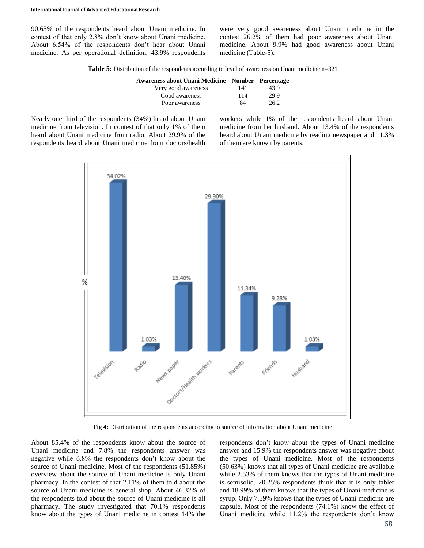90.65% of the respondents heard about Unani medicine. In contest of that only 2.8% don't know about Unani medicine. About 6.54% of the respondents don't hear about Unani medicine. As per operational definition, 43.9% respondents

were very good awareness about Unani medicine in the contest 26.2% of them had poor awareness about Unani medicine. About 9.9% had good awareness about Unani medicine (Table-5).

**Table 5:** Distribution of the respondents according to level of awareness on Unani medicine n=321

| <b>Awareness about Unani Medicine</b> |     | Number   Percentage |
|---------------------------------------|-----|---------------------|
| Very good awareness                   | 141 | 43.9                |
| Good awareness                        | 114 | 29.9                |
| Poor awareness                        | 84  | 26 Z                |

Nearly one third of the respondents (34%) heard about Unani medicine from television. In contest of that only 1% of them heard about Unani medicine from radio. About 29.9% of the respondents heard about Unani medicine from doctors/health workers while 1% of the respondents heard about Unani medicine from her husband. About 13.4% of the respondents heard about Unani medicine by reading newspaper and 11.3% of them are known by parents.



**Fig 4:** Distribution of the respondents according to source of information about Unani medicine

About 85.4% of the respondents know about the source of Unani medicine and 7.8% the respondents answer was negative while 6.8% the respondents don't know about the source of Unani medicine. Most of the respondents (51.85%) overview about the source of Unani medicine is only Unani pharmacy. In the contest of that 2.11% of them told about the source of Unani medicine is general shop. About 46.32% of the respondents told about the source of Unani medicine is all pharmacy. The study investigated that 70.1% respondents know about the types of Unani medicine in contest 14% the

respondents don't know about the types of Unani medicine answer and 15.9% the respondents answer was negative about the types of Unani medicine. Most of the respondents (50.63%) knows that all types of Unani medicine are available while 2.53% of them knows that the types of Unani medicine is semisolid. 20.25% respondents think that it is only tablet and 18.99% of them knows that the types of Unani medicine is syrup. Only 7.59% knows that the types of Unani medicine are capsule. Most of the respondents (74.1%) know the effect of Unani medicine while 11.2% the respondents don't know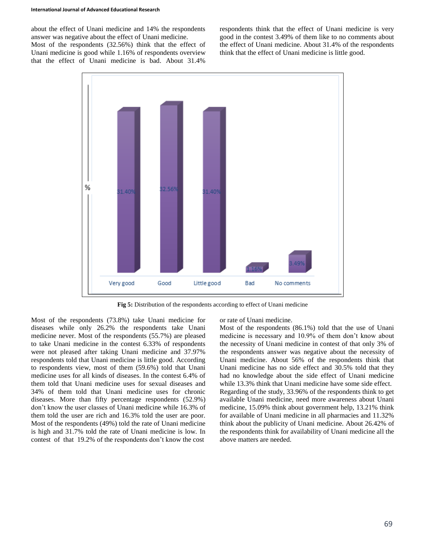about the effect of Unani medicine and 14% the respondents answer was negative about the effect of Unani medicine.

Most of the respondents (32.56%) think that the effect of Unani medicine is good while 1.16% of respondents overview that the effect of Unani medicine is bad. About 31.4% respondents think that the effect of Unani medicine is very good in the contest 3.49% of them like to no comments about the effect of Unani medicine. About 31.4% of the respondents think that the effect of Unani medicine is little good.



**Fig 5:** Distribution of the respondents according to effect of Unani medicine

Most of the respondents (73.8%) take Unani medicine for diseases while only 26.2% the respondents take Unani medicine never. Most of the respondents (55.7%) are pleased to take Unani medicine in the contest 6.33% of respondents were not pleased after taking Unani medicine and 37.97% respondents told that Unani medicine is little good. According to respondents view, most of them (59.6%) told that Unani medicine uses for all kinds of diseases. In the contest 6.4% of them told that Unani medicine uses for sexual diseases and 34% of them told that Unani medicine uses for chronic diseases. More than fifty percentage respondents (52.9%) don't know the user classes of Unani medicine while 16.3% of them told the user are rich and 16.3% told the user are poor. Most of the respondents (49%) told the rate of Unani medicine is high and 31.7% told the rate of Unani medicine is low. In contest of that 19.2% of the respondents don't know the cost

or rate of Unani medicine.

Most of the respondents (86.1%) told that the use of Unani medicine is necessary and 10.9% of them don't know about the necessity of Unani medicine in contest of that only 3% of the respondents answer was negative about the necessity of Unani medicine. About 56% of the respondents think that Unani medicine has no side effect and 30.5% told that they had no knowledge about the side effect of Unani medicine while 13.3% think that Unani medicine have some side effect. Regarding of the study, 33.96% of the respondents think to get available Unani medicine, need more awareness about Unani medicine, 15.09% think about government help, 13.21% think for available of Unani medicine in all pharmacies and 11.32% think about the publicity of Unani medicine. About 26.42% of the respondents think for availability of Unani medicine all the above matters are needed.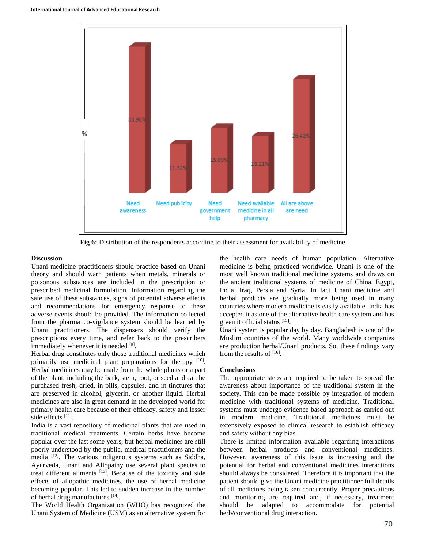

**Fig 6:** Distribution of the respondents according to their assessment for availability of medicine

# **Discussion**

Unani medicine practitioners should practice based on Unani theory and should warn patients when metals, minerals or poisonous substances are included in the prescription or prescribed medicinal formulation. Information regarding the safe use of these substances, signs of potential adverse effects and recommendations for emergency response to these adverse events should be provided. The information collected from the pharma co-vigilance system should be learned by Unani practitioners. The dispensers should verify the prescriptions every time, and refer back to the prescribers immediately whenever it is needed [9].

Herbal drug constitutes only those traditional medicines which primarily use medicinal plant preparations for therapy [10]. Herbal medicines may be made from the whole plants or a part of the plant, including the bark, stem, root, or seed and can be purchased fresh, dried, in pills, capsules, and in tinctures that are preserved in alcohol, glycerin, or another liquid. Herbal medicines are also in great demand in the developed world for primary health care because of their efficacy, safety and lesser side effects<sup>[11]</sup>.

India is a vast repository of medicinal plants that are used in traditional medical treatments. Certain herbs have become popular over the last some years, but herbal medicines are still poorly understood by the public, medical practitioners and the media <sup>[12]</sup>. The various indigenous systems such as Siddha, Ayurveda, Unani and Allopathy use several plant species to treat different ailments [13]. Because of the toxicity and side effects of allopathic medicines, the use of herbal medicine becoming popular. This led to sudden increase in the number of herbal drug manufactures [14].

The World Health Organization (WHO) has recognized the Unani System of Medicine (USM) as an alternative system for

the health care needs of human population. Alternative medicine is being practiced worldwide. Unani is one of the most well known traditional medicine systems and draws on the ancient traditional systems of medicine of China, Egypt, India, Iraq, Persia and Syria. In fact Unani medicine and herbal products are gradually more being used in many countries where modern medicine is easily available. India has accepted it as one of the alternative health care system and has given it official status [15] .

Unani system is popular day by day. Bangladesh is one of the Muslim countries of the world. Many worldwide companies are production herbal/Unani products. So, these findings vary from the results of [16].

# **Conclusions**

The appropriate steps are required to be taken to spread the awareness about importance of the traditional system in the society. This can be made possible by integration of modern medicine with traditional systems of medicine. Traditional systems must undergo evidence based approach as carried out in modern medicine. Traditional medicines must be extensively exposed to clinical research to establish efficacy and safety without any bias.

There is limited information available regarding interactions between herbal products and conventional medicines. However, awareness of this issue is increasing and the potential for herbal and conventional medicines interactions should always be considered. Therefore it is important that the patient should give the Unani medicine practitioner full details of all medicines being taken concurrently. Proper precautions and monitoring are required and, if necessary, treatment should be adapted to accommodate for potential herb/conventional drug interaction.